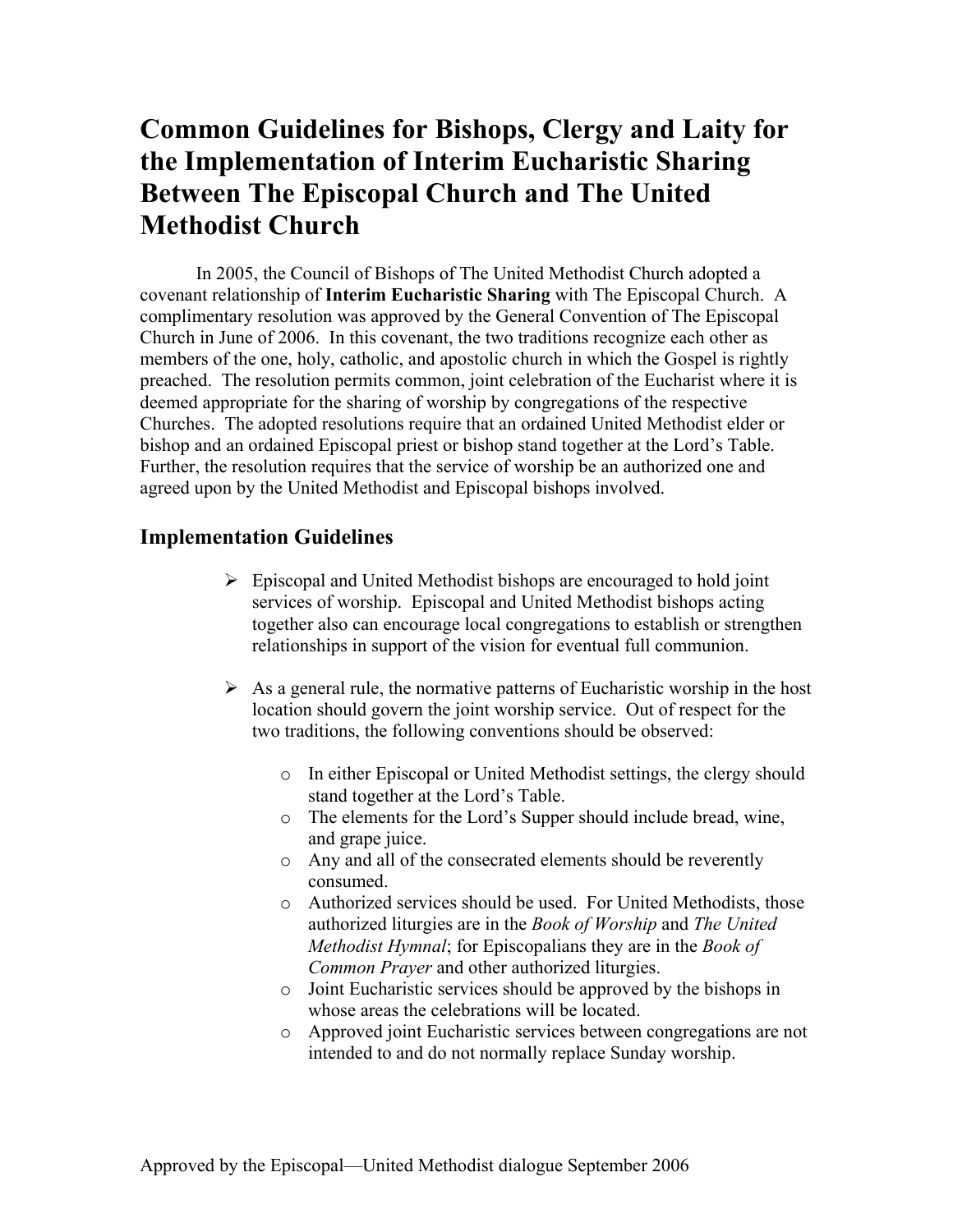## **Common Guidelines for Bishops, Clergy and Laity for the Implementation of Interim Eucharistic Sharing Between The Episcopal Church and The United Methodist Church**

In 2005, the Council of Bishops of The United Methodist Church adopted a covenant relationship of **Interim Eucharistic Sharing** with The Episcopal Church. A complimentary resolution was approved by the General Convention of The Episcopal Church in June of 2006. In this covenant, the two traditions recognize each other as members of the one, holy, catholic, and apostolic church in which the Gospel is rightly preached. The resolution permits common, joint celebration of the Eucharist where it is deemed appropriate for the sharing of worship by congregations of the respective Churches. The adopted resolutions require that an ordained United Methodist elder or bishop and an ordained Episcopal priest or bishop stand together at the Lord's Table. Further, the resolution requires that the service of worship be an authorized one and agreed upon by the United Methodist and Episcopal bishops involved.

## **Implementation Guidelines**

- $\triangleright$  Episcopal and United Methodist bishops are encouraged to hold joint services of worship. Episcopal and United Methodist bishops acting together also can encourage local congregations to establish or strengthen relationships in support of the vision for eventual full communion.
- $\triangleright$  As a general rule, the normative patterns of Eucharistic worship in the host location should govern the joint worship service. Out of respect for the two traditions, the following conventions should be observed:
	- o In either Episcopal or United Methodist settings, the clergy should stand together at the Lord's Table.
	- o The elements for the Lord's Supper should include bread, wine, and grape juice.
	- o Any and all of the consecrated elements should be reverently consumed.
	- o Authorized services should be used. For United Methodists, those authorized liturgies are in the *Book of Worship* and *The United Methodist Hymnal*; for Episcopalians they are in the *Book of Common Prayer* and other authorized liturgies.
	- o Joint Eucharistic services should be approved by the bishops in whose areas the celebrations will be located.
	- o Approved joint Eucharistic services between congregations are not intended to and do not normally replace Sunday worship.